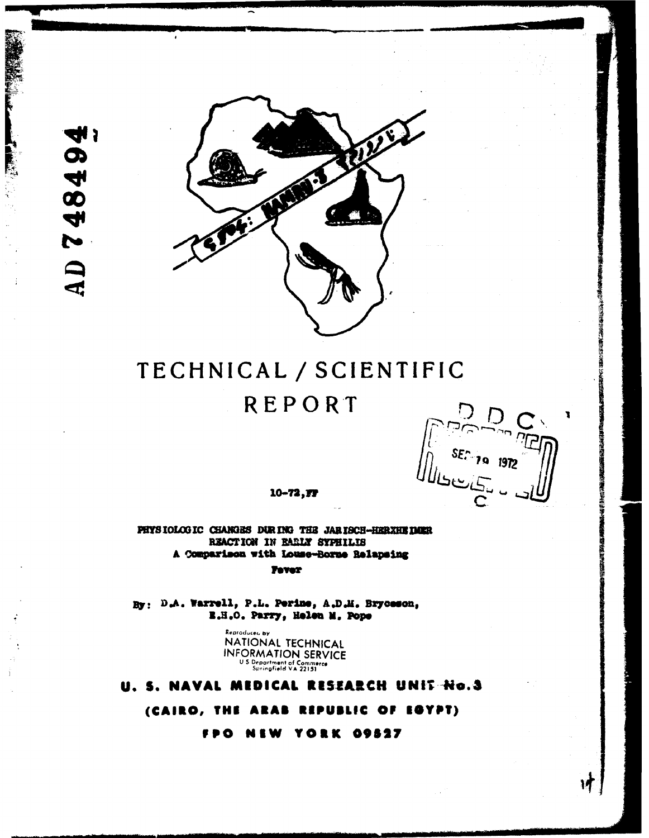

# TECHNICAL / SCIENTIFIC REPORT



14

 $10 - 72, 53$ 

PHYSIOLOGIC CHANGES DURING THE JARISCH-HERXHEIDER REACTION IN EARLY SYPHILIS A Comparison with Louse-Borne Relapsing

**Pover** 

By: D.A. Warrell, P.L. Perine, A.D.H. Bryceson, E.H.O. Parry, Helen M. Pope

> Reproduced by NATIONAL TECHNICAL INFORMATION SERVICE

### **U.S.** NAVAL MEDICAL RESEARCH UNIT-No.3

PUBLIC OF EGYPT) (CAIRO, THE ARAB

> NEW YORK 09527 FPO.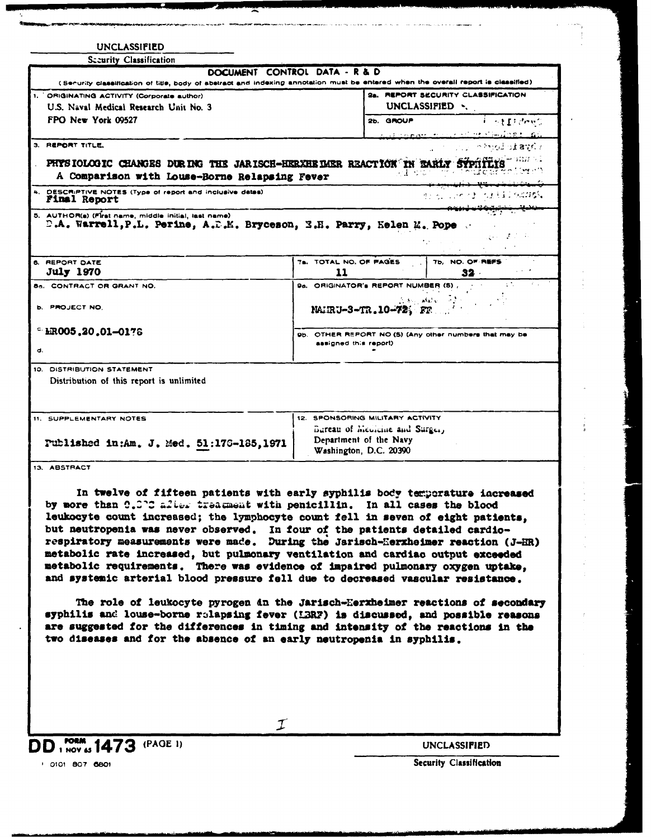| <b>Sceurity Classification</b>                                                                                                                                                                                                                                                                                                                                                                                                                                                                                                                                                                                                                                                        |                                                                                                                                                                                                                                                                                                                                           |
|---------------------------------------------------------------------------------------------------------------------------------------------------------------------------------------------------------------------------------------------------------------------------------------------------------------------------------------------------------------------------------------------------------------------------------------------------------------------------------------------------------------------------------------------------------------------------------------------------------------------------------------------------------------------------------------|-------------------------------------------------------------------------------------------------------------------------------------------------------------------------------------------------------------------------------------------------------------------------------------------------------------------------------------------|
|                                                                                                                                                                                                                                                                                                                                                                                                                                                                                                                                                                                                                                                                                       | DOCUMENT CONTROL DATA - R & D                                                                                                                                                                                                                                                                                                             |
|                                                                                                                                                                                                                                                                                                                                                                                                                                                                                                                                                                                                                                                                                       | (Security classification of title, body of abstract and indexing annotation must be entered when the overall report is classified)                                                                                                                                                                                                        |
| 1. ORIGINATING ACTIVITY (Corporate author)<br>U.S. Naval Medical Research Unit No. 3                                                                                                                                                                                                                                                                                                                                                                                                                                                                                                                                                                                                  | 2a. REPORT SECURITY CLASSIFICATION<br>UNCLASSIFIED -                                                                                                                                                                                                                                                                                      |
| FPO New York 09527                                                                                                                                                                                                                                                                                                                                                                                                                                                                                                                                                                                                                                                                    | 2b. GROUP                                                                                                                                                                                                                                                                                                                                 |
|                                                                                                                                                                                                                                                                                                                                                                                                                                                                                                                                                                                                                                                                                       | もっきまし ざみゃく                                                                                                                                                                                                                                                                                                                                |
| 3. REPORT TITLE.                                                                                                                                                                                                                                                                                                                                                                                                                                                                                                                                                                                                                                                                      | <u>aldessam verkendet i kindet all</u><br>give the internet stager                                                                                                                                                                                                                                                                        |
| A Comparison with Louse-Borne Relapsing Fever                                                                                                                                                                                                                                                                                                                                                                                                                                                                                                                                                                                                                                         | PHYSIOLOGIC CHANGES DURING THE JARISCH-HERXHEIMER REACTION IN EARLY SYPHILIS<br>পূৰ্ব কৰ্ম <b>টোৱাৰ্ট</b> া খেলা<br>天津 ゆゆう                                                                                                                                                                                                                |
| 4. DESCRIPTIVE NOTES (Type of report and inclusive dates)<br>Final Report                                                                                                                                                                                                                                                                                                                                                                                                                                                                                                                                                                                                             | ang, meng ng tilakangk                                                                                                                                                                                                                                                                                                                    |
| 5. AUTHOR(s) (First name, middle initial, last name)<br>D.A. Warrell, P.L. Perine, A.D.M. Bryceson, Z.H. Parry, Kelen M. Pope                                                                                                                                                                                                                                                                                                                                                                                                                                                                                                                                                         | <del>– naudodoje</del><br>$1.24 - 3.2 - 4.$<br>$\mathcal{F}(\mathcal{A})$ and $\mathcal{F}(\mathcal{A})$ and<br>$\mathbf{r} = \mathbf{r}$                                                                                                                                                                                                 |
| 6. REPORT DATE<br><b>July 1970</b>                                                                                                                                                                                                                                                                                                                                                                                                                                                                                                                                                                                                                                                    | TB. TOTAL NO. OF FAGES   7b, NO. OF REFS<br>$\sim 1000$ $\sigma$                                                                                                                                                                                                                                                                          |
| 86. CONTRACT OR GRANT NO.                                                                                                                                                                                                                                                                                                                                                                                                                                                                                                                                                                                                                                                             | 11<br>$32 -$<br><b>COLLE</b><br>$\sim 10$<br>9a. ORIGINATOR's REPORT NUMBER (5)                                                                                                                                                                                                                                                           |
| <b>b. PROJECT NO.</b>                                                                                                                                                                                                                                                                                                                                                                                                                                                                                                                                                                                                                                                                 | لاية المعلم إيمانية ال<br>NAMRU-3-TR.10-72, FR                                                                                                                                                                                                                                                                                            |
| $^{\circ}$ LR005, 20, 01-0178                                                                                                                                                                                                                                                                                                                                                                                                                                                                                                                                                                                                                                                         | 9b. OTHER REPORT NO (S) (Any other numbers that may be                                                                                                                                                                                                                                                                                    |
| d.                                                                                                                                                                                                                                                                                                                                                                                                                                                                                                                                                                                                                                                                                    | assigned this report)                                                                                                                                                                                                                                                                                                                     |
|                                                                                                                                                                                                                                                                                                                                                                                                                                                                                                                                                                                                                                                                                       |                                                                                                                                                                                                                                                                                                                                           |
|                                                                                                                                                                                                                                                                                                                                                                                                                                                                                                                                                                                                                                                                                       | 12. SPONSORING MILITARY ACTIVITY                                                                                                                                                                                                                                                                                                          |
| Published in:Am. J. Med. 51:176-185,1971                                                                                                                                                                                                                                                                                                                                                                                                                                                                                                                                                                                                                                              | Bureau of Medicine and Surger,<br>Department of the Navy                                                                                                                                                                                                                                                                                  |
|                                                                                                                                                                                                                                                                                                                                                                                                                                                                                                                                                                                                                                                                                       | Washington, D.C. 20390                                                                                                                                                                                                                                                                                                                    |
| 13. ABSTRACT<br>by more than 0.000 after traacment with penicillin. In all cases the blood<br>leukocyte count increased; the lymphocyte count fell in seven of eight patients,<br>but neutropenia was never observed. In four of the patients detailed cardio-<br>metabolic rate increased, but pulmonary ventilation and cardiac output exceeded<br>metabolic requirements. There was evidence of impaired pulmonary oxygen uptake,<br>and systemic arterial blood pressure fell due to decreased vascular resistance.<br>are suggested for the differences in timing and intensity of the reactions in the<br>two diseases and for the absence of an early neutropenia in syphilis. | In twelve of fifteen patients with early syphilis body temporature increased<br>respiratory measurements were made. During the Jarisch-Herxheimer reaction (J-HR)<br>The role of leukocyte pyrogen in the Jarisch-Herxheimer reactions of secondary<br>syphilis and louse-borne relapsing fever (LBRF) is discussed, and possible reasons |
| $\mathcal{I}$                                                                                                                                                                                                                                                                                                                                                                                                                                                                                                                                                                                                                                                                         |                                                                                                                                                                                                                                                                                                                                           |
| $\sum_{1}^{60RM}_{200}$ 1473<br>(PAGE 1)                                                                                                                                                                                                                                                                                                                                                                                                                                                                                                                                                                                                                                              | <b>UNCLASSIFIED</b>                                                                                                                                                                                                                                                                                                                       |

 $\bar{z}$  $\begin{array}{c} 1 \\ 3 \\ 2 \end{array}$ 

 $\mathbf{u} \left( \mathbf{u}_{t} \right)$  ,  $\mathbf{v}_{t}$ 

Ĵ ĵ.

J,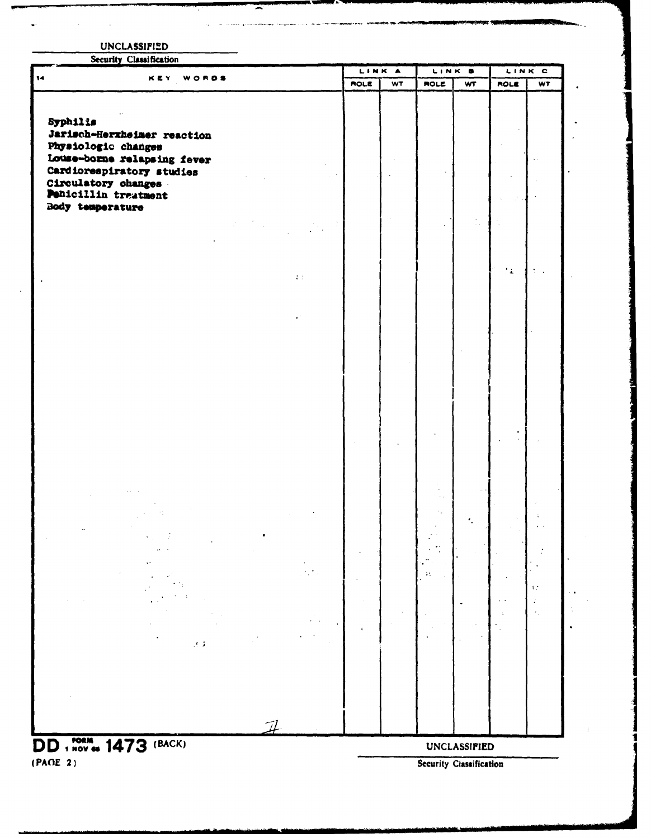|  |  | <b>UNCLASSIFIED</b> |  |
|--|--|---------------------|--|
|--|--|---------------------|--|

| LINK A<br>14<br>KEY<br>WORDS<br><b>ROLE</b><br>WT<br><b>ROLE</b><br>Syphilis<br>Jarisch-Herzheimer reaction<br>Physiologic changes | LINK B<br><b>WT</b>     | LINK C<br><b>ROLE</b><br><b>WT</b>  |
|------------------------------------------------------------------------------------------------------------------------------------|-------------------------|-------------------------------------|
|                                                                                                                                    |                         |                                     |
|                                                                                                                                    |                         |                                     |
|                                                                                                                                    |                         |                                     |
|                                                                                                                                    |                         |                                     |
|                                                                                                                                    |                         |                                     |
| Louse-borne relapsing fever                                                                                                        |                         |                                     |
| Cardiorespiratory studies                                                                                                          |                         |                                     |
| Circulatory changes<br>Pehicillin treatment                                                                                        |                         |                                     |
| Body temperature                                                                                                                   |                         |                                     |
|                                                                                                                                    |                         |                                     |
|                                                                                                                                    |                         |                                     |
|                                                                                                                                    |                         |                                     |
|                                                                                                                                    |                         | $\mathbf{r}_\perp$<br>$\Delta \sim$ |
| $\ddot{\chi}$ , $\ddot{\chi}$                                                                                                      |                         |                                     |
|                                                                                                                                    |                         |                                     |
|                                                                                                                                    |                         |                                     |
|                                                                                                                                    |                         |                                     |
|                                                                                                                                    |                         |                                     |
|                                                                                                                                    |                         |                                     |
|                                                                                                                                    |                         |                                     |
|                                                                                                                                    |                         |                                     |
|                                                                                                                                    |                         |                                     |
|                                                                                                                                    |                         |                                     |
|                                                                                                                                    |                         |                                     |
|                                                                                                                                    |                         |                                     |
|                                                                                                                                    |                         |                                     |
|                                                                                                                                    |                         |                                     |
|                                                                                                                                    |                         |                                     |
|                                                                                                                                    |                         |                                     |
|                                                                                                                                    |                         |                                     |
|                                                                                                                                    |                         |                                     |
|                                                                                                                                    |                         |                                     |
| $\epsilon_{\rm g}$ big<br>$\ddot{\bullet}$ :                                                                                       |                         |                                     |
|                                                                                                                                    |                         | $1.7\,$                             |
|                                                                                                                                    |                         | $\star_{\omega}$                    |
|                                                                                                                                    |                         |                                     |
| $\mathcal{F}(\mathcal{G})$                                                                                                         |                         |                                     |
|                                                                                                                                    |                         |                                     |
|                                                                                                                                    |                         |                                     |
|                                                                                                                                    |                         |                                     |
|                                                                                                                                    |                         |                                     |
| 71.                                                                                                                                |                         |                                     |
| FORM 1473 (BACK)                                                                                                                   |                         |                                     |
| DI<br>D                                                                                                                            | <b>UNCLASSIFIED</b>     |                                     |
| (PAGE 2)                                                                                                                           | Security Classification |                                     |

مدينيت ساند.<br>مدينيت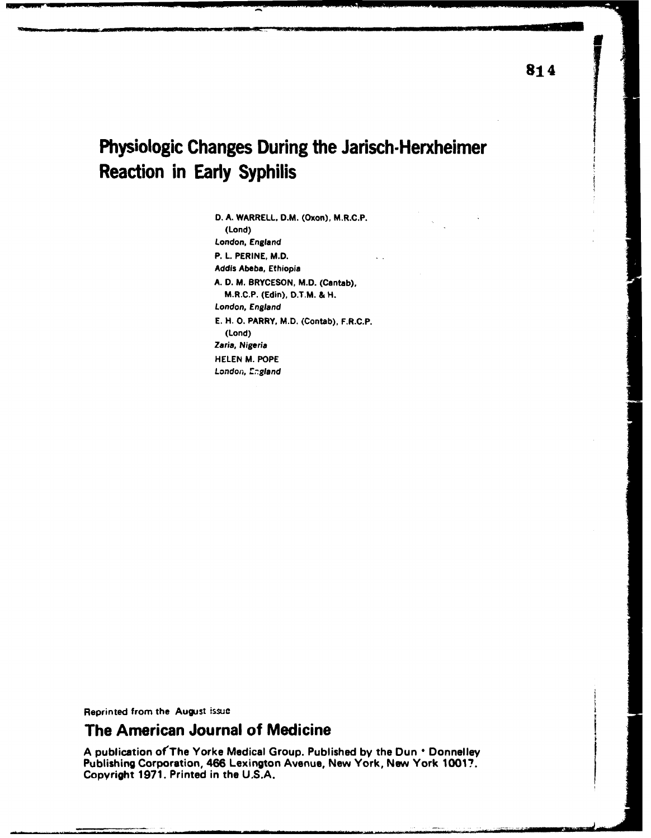## Physiologic Changes During the Jarisch-Herxheimer Reaction in Early Syphilis

D. A. WARRELL. D.M. (Oxon), M.R.C.P. (Lond) London, England P. L. PERINE, M.D. Addis Abeba, Ethiopia A. D. M. BRYCESON, M.D. (Cantab), M.R.C.P. (Edin), D.T.M. & H. *London, England* E. H. **0.** PARRY, M.D. (Contab), F.R.C.P. (Lond) Zaria, Nigeria HELEN M. POPE London, England

Reprinted from the August issue

## The American Journal of Medicine

A publication of The Yorke Medical Group. Published by the Dun . Donnelley Publishing Corporation, 466 Lexington Avenue, New York, New York 10017. Copyright 1971. Printed in the U.S.A.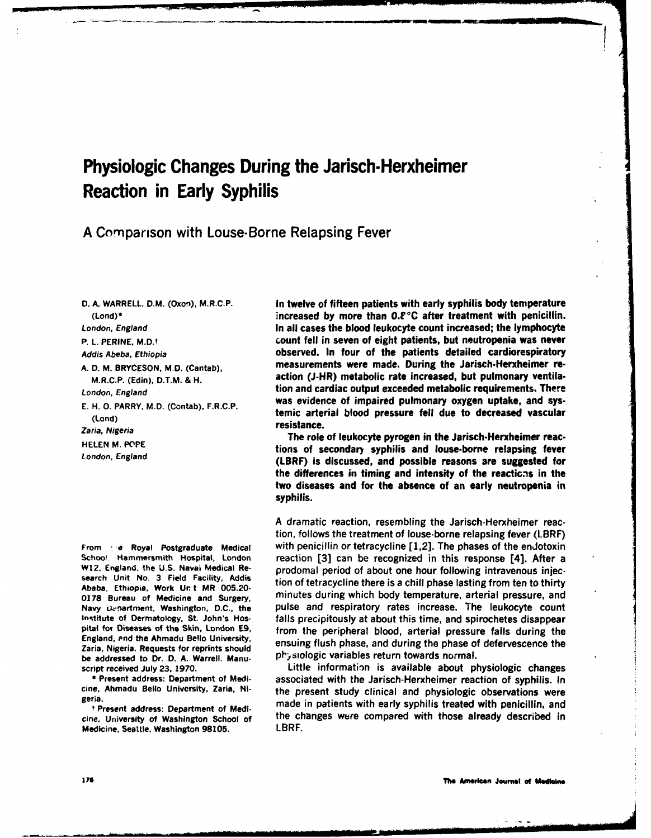## Physiologic Changes During the Jarisch.Herxheimer Reaction in Early Syphilis

A Comparison with Louse-Borne Relapsing Fever

(Lond)<br> **Zaria, Nigeria resistance.**<br> **Paria, Nigeria resistance.** 

Ababa, Ethiopia, Work Un t MR 005.20- Zaria, Nigeria. Requests for reprints should  $b$ e addressed to Dr. D. A. Warrell. Manu- physiologic variables return towards normal.

Medicine, Seattle, Washington 98105.

**D.** A. WARRELL, D.M. (Oxon), M.R.C.P. In twelve of fifteen patients with early syphilis body temperature (Lond)\* increased by more than  $0.8^{\circ}$ C after treatment with penicillin. *London, England* In all cases the blood leukocyte count increased; the lymphocyte P. L. PERINE, M.D.t count fell in seven of eight patients, but neutropenia was never Addis *Abeba, Ethiopia* observed. In four of the patients detailed cardiorespiratory A. **D.** M. BRYCESON, M.D. (Cantab), measurements were made. During the Jarisch-Herxheimer re-M.R.C.P. (Edin), D.T.M. & H. **action (J-HR) metabolic rate increased, but pulmonary ventila-***London, England* tion and cardiac output exceeded metabolic requirements. There was evidence of impaired pulmonary oxygen uptake, and sys- **E.** H. **0.** PARRY, M.D. (Contab), F.R.C.P. temic arterial blood pressure fell due to decreased vascular

*Zaria, Nigeria* The role of leukocyte pyrogen in the Jarisch-Herxheimer reac- HELEN M. POPE tions of secondary syphilis and louse-borne relapsing fever London, England (LBRF) is discussed, and possible reasons are suggested for the differences in timing and intensity of the reactions in the two diseases and for the absence of an early neutropenia in syphilis.

A dramatic reaction, resembling the Jarisch-Herxheimer reaction, follows the treatment of louse-borne relapsing fever (LBRF) From  $\rightarrow$  Royal Postgraduate Medical with penicillin or tetracycline [1,2]. The phases of the endotoxin School. Hammersmith Hospital, London reaction [3] can be recognized in this response [4]. After a<br>W12. England, the U.S. Navai Medical Re- correctional period of about one hour following intravenous injecprodomal period of about one hour following intravenous injecsearch Unit No. 3 Field Facility, Addis tion of tetracycline there is a chill phase lasting from ten to thirty **0178** Bureau of Medicine and Surgery, minutes during which body temperature, arterial pressure, and Navy Department, Washington, D.C., the pulse and respiratory rates increase. The leukocyte count institute of Dermatology, St. John's Hos-<br>Institute of Dermatology, St. John's Hos- falls precipitously at about this time, a falls precipitously at about this time, and spirochetes disappear pital for Diseases of the Skin, London **E9,** from the peripheral blood, arterial pressure falls during the England, Pnd the Ahmadu Bello University, ensuing flush phase, and during the phase of defervescence the

script received July 23, 1970. Little information is available about physiologic changes \* Present address: Department of Medi- associated with the Jarisch-Herxheimer reaction of syphilis. In cine, Ahmadu Bello University, Zaria, Ni- the present study clinical and physiologic observations were thesent address: Department of Medi- made in patients with early syphilis treated with penicillin, and cine, University of Washington School of the changes were compared with those already described in<br>Medicine Seattle Washington 98105. LBRF.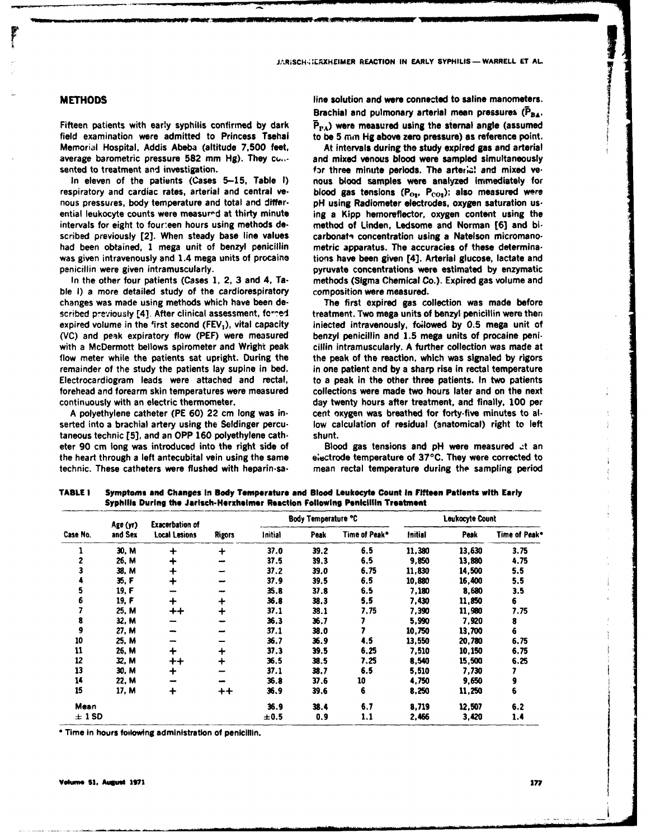field examination were admitted to Princess Tsehai to be 5 mm Hg above zero pressure) as reference point. Memorial Hospital, Addis Abeba (altitude 7,500 feet, At intervals during the study expired gas and arterial

respiratory and cardiac rates, arterial and central ve-<br>nous pressures, body temperature and total and differ-<br> $pH$  using Radiometer electrodes, oxygen saturation usnous pressures, body temperature and total and differential leukocyte counts were measured at thirty minute ing a Kipp hemoreflector, oxygen content using the intervals for eight to fourteen hours using methods de-<br> **method of Linden, Ledsome and Norman [6]** and biscribed previously [2]. When steady base line values carbonate concentration using a Natelson micromano-<br>had been obtained, 1 mega unit of benzyl penicillin metric apparatus. The accuracies of these determinahad been obtained, 1 mega unit of benzyl penicillin metric apparatus. The accuracies of these determina-<br>was given intravenously and 1.4 mega units of procaine tions have been given [4]. Arterial glucose, lactate and

ble I) a more detailed study of the cardiorespiratory composition were measured. changes was made using methods which have been de- The first expired gas collection was made before scribed previously [4]. After clinical assessment, forred treatment. Two mega units of benzyl penicillin were then expired volume in the first second (FEV<sub>1</sub>), vital capacity iniected intravenously, followed by 0.5 mega unit of (VC) and peak expiratory flow (PEF) were measured benzyl penicillin and 1.5 mega units of procaine peni-(VC) and peak expiratory flow (PEF) were measured benzyl penicillin and 1.5 mega units of procaine peni. flow meter while the patients sat upright. During the the peak of the reaction, which was signaled by rigors remainder of the study the patients lay supine in bed. in one patient and by a sharp rise in rectal temperature<br>Electrocardiogram leads were attached and rectal, to a peak in the other three patients. In two patients Electrocardiogram leads were attached and rectal, to a peak in the other three patients. In two patients forehead and forearm skin temperatures were measured collections were made two hours later and on the next continuously with an electric thermometer. day twenty hours after treatment, and finally, 100 per

taneous technic [5], and an OPP 160 polyethylene cath- shunt. eter 90 cm long was introduced into the right side of Blood gas tensions and pH were measured at an

**METHODS** line solution and were connected to saline manometers. Brachial and pulmonary arterial mean pressures ( $\overline{P}_{BA}$ , Fifteen patients with early syphilis confirmed by dark  $\overline{P}_{n,k}$ ) were measured using the sternal angle (assumed

average barometric pressure 582 mm Hg). They come and mixed venous blood were sampled simultaneously sented to treatment and investigation. The series of three minute periods. The arterial and mixed ve-In eleven of the patients (Cases 5-15, Table I) nous blood samples were analyzed immediately for tions have been given [4]. Arterial glucose, lactate and penicillin were given intramuscularly.<br>In the other four patients (Cases 1, 2, 3 and 4, Ta-<br>methods (Sigma Chemical Co.). Expired gas volume and methods (Sigma Chemical Co.). Expired gas volume and

cillin intramuscularly. A further collection was made at collections were made two hours later and on the next A polyethylene catheter (PE 60) 22 cm long was in- cent oxygen was breathed for forty-five minutes to alserted into a brachial artery using the Seldinger percu-<br>low calculation of residual (anatomical) right to left to left

the heart through a left antecubital vein using the same eiectrode temperature of 37°C. They were corrected to technic. These catheters were flushed with heparin-sa- mean rectal temperature during the sampling period

**TABLE I** Symptoms and Changes In Body Temperature and Blood Leukocyte Count In Fifteen Patients with Early Syphilis During the Jarlsch-Herxhelmor Reaction Following Penicillin Treatment

|          | Age (yr) | <b>Exacerbation of</b> |                 | Body Temperature °C |      |               | Leukocyte Count |        |               |  |  |
|----------|----------|------------------------|-----------------|---------------------|------|---------------|-----------------|--------|---------------|--|--|
| Case No. | and Sex  | <b>Local Lesions</b>   | <b>Rigors</b>   | <b>Initial</b>      | Peak | Time of Peak* | Initial         | Peak   | Time of Peak* |  |  |
|          | 30. M    | ┿                      | $\div$          | 37.0                | 39.2 | 6.5           | 11.380          | 13,630 | 3.75          |  |  |
|          | 26, M    | ÷                      |                 | 37.5                | 39.3 | 6,5           | 9,850           | 13,880 | 4.75          |  |  |
|          | 38, M    |                        |                 | 37.2                | 39.0 | 6.75          | 11,830          | 14,500 | 5.5           |  |  |
|          | 35. F    | ۰                      |                 | 37.9                | 39.5 | 6.5           | 10,880          | 16,400 | 5.5           |  |  |
| 5        | 19, F    |                        |                 | 35.8                | 37.8 | 6.5           | 7,180           | 8,680  | 3.5           |  |  |
| 6        | 19. F    | ╇                      | ÷               | 36.8                | 38.3 | 5.5           | 7.430           | 11,850 | 6             |  |  |
|          | 25. M    | ++                     |                 | 37.1                | 38.1 | 7.75          | 7.390           | 11,980 | 7.75          |  |  |
| 8        | 32, M    |                        |                 | 36.3                | 36.7 |               | 5,990           | 7,920  | 8             |  |  |
| 9        | 27, M    |                        |                 | 37.1                | 38.0 |               | 10.750          | 13,700 | 6             |  |  |
| 10       | 25. M    |                        |                 | 36.7                | 36.9 | 4.5           | 13,550          | 20,780 | 6.75          |  |  |
| 11       | 26, M    | ┿                      | ┿               | 37.3                | 39.5 | 6.25          | 7,510           | 10,150 | 6.75          |  |  |
| 12       | 32. M    | $^{\mathrm{+}}$        |                 | 36.5                | 38.5 | 7.25          | 8,540           | 15,500 | 6.25          |  |  |
| 13       | 30, M    | ┿                      |                 | 37.1                | 38.7 | 6.5           | 5.510           | 7.730  |               |  |  |
| 14       | 22. M    |                        |                 | 36.8                | 37.6 | 10            | 4,750           | 9,650  | 9             |  |  |
| 15       | 17. M    | ┿                      | $^{\mathrm{+}}$ | 36.9                | 39.6 | 6             | 8.250           | 11,250 | 6             |  |  |
| Mean     |          |                        |                 | 36.9                | 38.4 | 6.7           | 8,719           | 12.507 | 6.2           |  |  |
| ±1SD     |          |                        |                 | ±0.5                | 0.9  | 1,1           | 2,466           | 3.420  | 1,4           |  |  |

\* Time in hours fotiowing administration of penicillin.

Volume **S1, ALimuat 1971 177**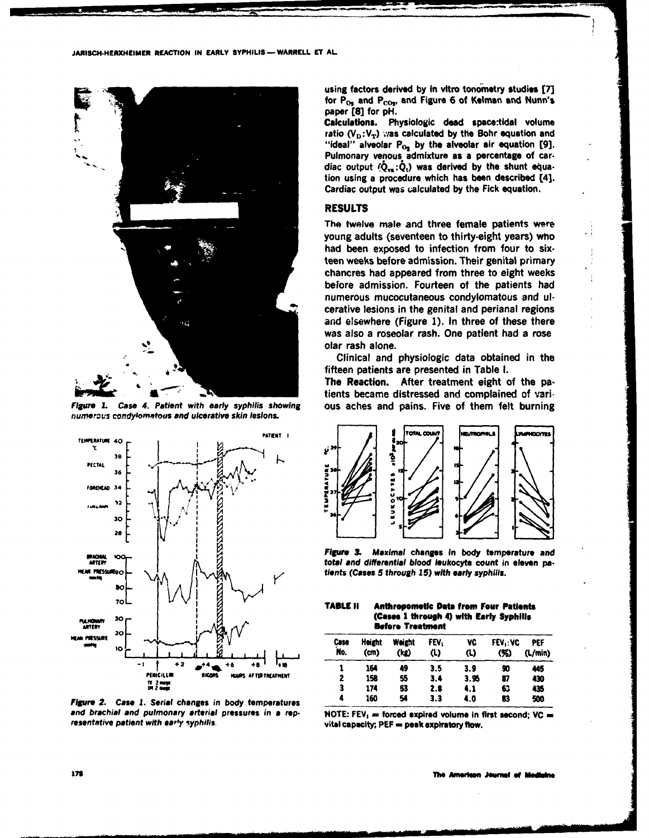

Figure 1. Case 4. Patient with early syphilis showing ous aches and pains. Five of them felt burning numerous condylomatous and ulcerative skin lesions.



Figure 2. Case 1. Serial changes in body temperatures and brachial and pulmonary arterial pressures in a rep-<br>
NOTE: FEV<sub>1</sub> = forced expired volume in first second; VC = resentative patient with early syphilis. vital capacity;  $PEF =$  peak expiratory flow.

using factors derived **by** in vitro tonmomtry studies **[7]** for P0, and **Pco,,** and Figure **6** of Kelman and Nunn's paper **(8]** for **pH.**

Calculations. Physiologic **dead** space:tldal volume ratio  $(V_n:V_n)$  was calculated by the Bohr equation and "ideal" alveolar P<sub>02</sub> by the alveolar air equation [9]. Pulmonary venous admixture as a percentage of cardiac output (Q<sub>va</sub>:Q<sub>i</sub>) was derived by the shunt equation using a procedure which has been described **(4].** Cardiac output was calculated by the Fick equation.

## **RESULTS**

The twelve male and three female patients were young adults (seventeen to thirty-eight years) who had been exposed to infection from four to sixyoung adults (seventeen to thirty-eight years) who<br>had been exposed to infection from four to six-<br>teen weeks before admission. Their genital primary<br>chancres had appeared from three to eight weeks<br>before admission. Fourte before admission. Fourteen of the patients had numerous mucocutaneous condylomatous and ulcerative lesions in the genital and perianal regions and elsewhere (Figure **1).** In three of these there was also a roseolar rash. One patient had a rose **Ilk%** olar rash alone.

> Clinical and physiologic data obtained in the fifteen patients are presented in Table *I*.<br>The Reaction. After treatment eight of the pa-

> tients became distressed and complained of vari-



**PACIFIC COMPOSITIONS**<br> **PACIFIC COMPOSITION**<br> **PACIFIC COMPOSITION**<br> **PACIFIC COMPOSITION** 

|        |    | TABLE II<br>Anthropometic Data from Four Patients |
|--------|----|---------------------------------------------------|
| $30 -$ |    | (Cases 1 through 4) with Early Syphilis           |
|        | ለ‰ | <b>Before Treatment</b>                           |

| <b>KAN</b>                                          |             |                       |                |             |            |                |                |
|-----------------------------------------------------|-------------|-----------------------|----------------|-------------|------------|----------------|----------------|
|                                                     | Case<br>No. | <b>Height</b><br>(cm) | Weight<br>(kg) | FEV.<br>(L) | AC.<br>(L) | FEV. VC<br>(%) | PEF<br>(L/min) |
| - 1<br>$+2$<br>+8<br>+6<br>'+ 19                    |             | 164                   | 49             | 3.5         | 3.9        | 90             | 445            |
| PENICILLIN<br><b>PIGORS</b><br>HOURS AFTERTREATMENT | 2           | 158                   | 55             | 3.4         | 3.95       | 87             | 430            |
| $\frac{72}{24}$ $\frac{2}{2}$ maps                  |             | 174                   | 53             | 2.8         | 4.1        | 63             | 435            |
| 1. Serial changes in body temperatures              | 4           | 160                   | 54             | 3.3         | 4.0        | 83             | 500            |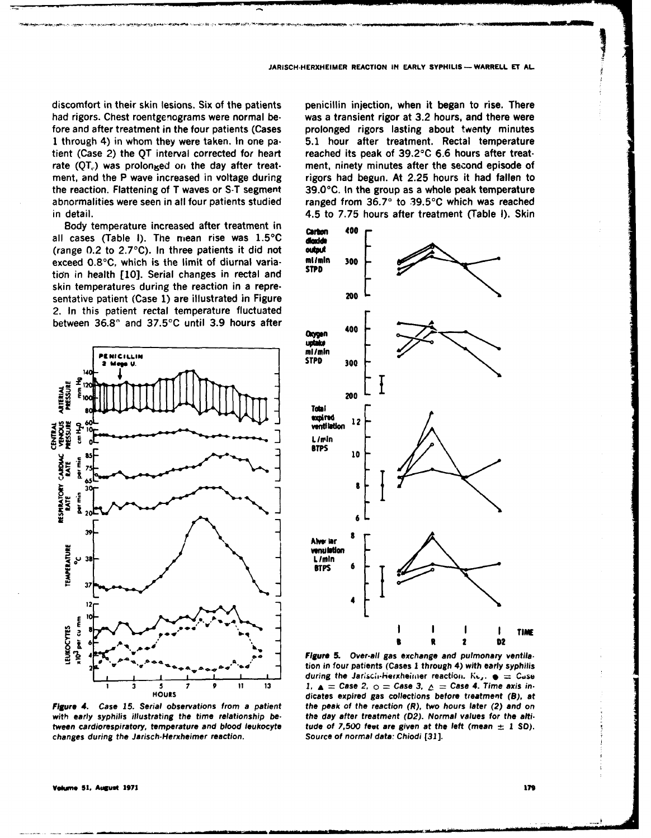discomfort in their skin lesions. Six of the patients had rigors. Chest roentgenograms were normal before and after treatment in the four patients (Cases 1 through 4) in whom they were taken. In one patient (Case 2) the OT interval corrected for heart rate (OT.) was prolonged on the day after treatment, and the P wave increased in voltage during the reaction. Flattening of T waves or S-T segment abnormalities were seen in all four patients studied in detail.

Body temperature increased after treatment in all cases (Table I). The mean rise was 1.5°C (range 0.2 to 2.7°C). In three patients it did not exceed 0.8°C, which is the limit of diurnal variation in health [10]. Serial changes in rectal and skin temperatures during the reaction in a representative patient (Case 1) are illustrated in Figure 2. In this patient rectal temperature fluctuated between 36.8° and 37.5°C until 3.9 hours after



penicillin injection, when it began to rise. There was a transient rigor at 3.2 hours, and there were prolonged rigors lasting about twenty minutes 5.1 hour after treatment. Rectal temperature reached its peak of 39.2°C 6.6 hours after treatment, ninety minutes after the second episode of rigors had begun. At 2.25 hours it had fallen to  $39.0^{\circ}$ C. In the group as a whole peak temperature ranged from 36.7° to 39.5°C which was reached 4.5 to 7.75 hours after treatment (Table I). Skin



Figure 5. Over-all gas exchange and pulmonary ventilation in four patients (Cases 1 through 4) with early syphilis during the Jarisch-Herxheimer reaction. Key.  $\bullet =$  Case 1,  $\triangle$  = Case 2,  $\circ$  = Case 3,  $\triangle$  = Case 4. Time axis indicates expired gas collections before treatment (B), at the peak of the reaction (R), two hours later (2) and on the day after treatment (D2). Normal values for the altitude of 7,500 feet are given at the left (mean  $\pm$  1 SD). Source of normal data: Chiodi [31].

Figure 4. Case 15. Serial observations from a patient with early syphilis illustrating the time relationship between cardiorespiratory, temperature and blood leukocyte changes during the Jarisch-Herxheimer reaction.

Volume 51, August 1971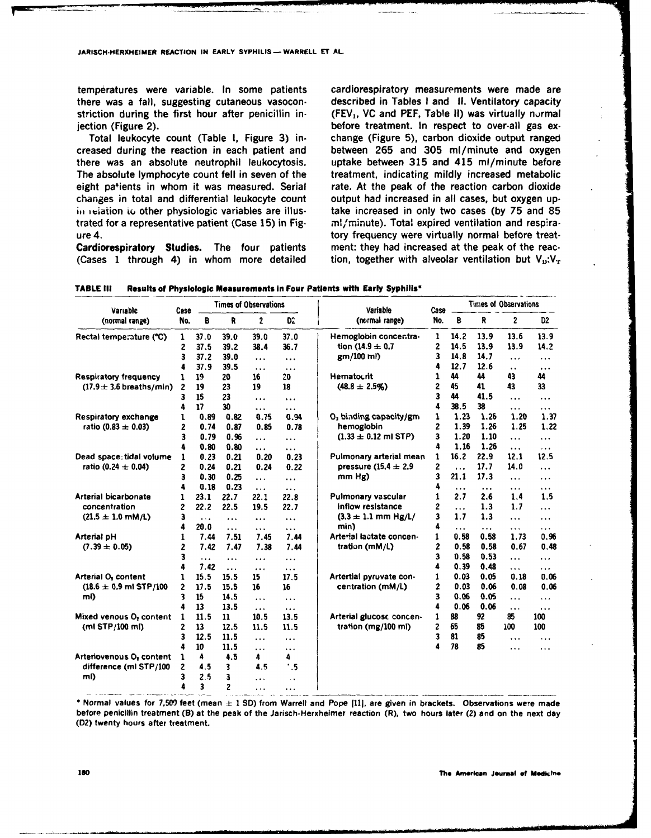there was a fall, suggesting cutaneous vasocon-<br>striction during the first hour after penicillin in-<br>(FEV<sub>1</sub>, VC and PEF, Table II) was virtually normal striction during the first hour after penicillin injection (Figure 2).

creased during the reaction in each patient and there was an absolute neutrophil leukocytosis. uptake between 315 and 415 ml/minute before The absolute lymphocyte count fell in seven of the treatment, indicating mildly increased metabolic eight patients in whom it was measured. Serial rate. At the peak of the reaction carbon dioxide<br>changes in total and differential leukocyte count output had increased in all cases, but oxygen upchanges in total and differential leukocyte count in relation to other physiologic variables are illus-<br>take increased in only two cases (by 75 and 85 trated for a representative patient (Case 15) in Fig- m i/minute). Total expired ventilation and respira-

Cardiorespiratory Studies. The four patients (Cases 1 through 4) in whom more detailed tion, together with alveolar ventilation but  $V_{\text{D}}:V_{\text{T}}$ 

temperatures were variable. In some patients cardiorespiratory measurements were made are before treatment. In respect to over-all gas ex-<br>change (Figure 5), carbon dioxide output ranged Total leukocyte count (Table I, Figure 3) in- change (Figure 5), carbon dioxide output ranged ure 4.<br>Cardiorespiratory Studies. The four patients ment: they had increased at the peak of the reac-

| Variable                             | <b>Times of Observations</b><br>Case |                         |          |                |                 | Variable                           | Case           | <b>Times of Observations</b> |          |                      |                |
|--------------------------------------|--------------------------------------|-------------------------|----------|----------------|-----------------|------------------------------------|----------------|------------------------------|----------|----------------------|----------------|
| (normal range)                       | No.                                  | B                       | R        | $\overline{2}$ | D2              | (normal range)                     | No.            | B                            | R        | $\overline{c}$       | D <sub>2</sub> |
| Rectal temperature (°C)              | 1                                    | 37.0                    | 39.0     | 39.0           | 37.0            | Hemoglobin concentra-              | 1              | 14.2                         | 13.9     | 13.6                 | 13.9           |
|                                      | $\overline{c}$                       | 37.5                    | 39.2     | 38.4           | 36.7            | tion $(14.9 \pm 0.7)$              | $\overline{2}$ | 14.5                         | 13.9     | 13.9                 | 14.2           |
|                                      | 3                                    | 37.2                    | 39.0     | $\cdots$       | $\cdots$        | gm/100 ml)                         | 3              | 14.8                         | 14.7     | $\ddotsc$            |                |
|                                      | 4                                    | 37.9                    | 39.5     | $\ddotsc$      | .               |                                    | 4              | 12.7                         | 12.6     | $\ddot{\phantom{a}}$ | $\cdots$       |
| <b>Respiratory frequency</b>         | 1                                    | 19                      | 20       | 16             | 20              | Hematocrit                         | 1              | 44                           | 44       | 43                   | 44             |
| $(17.9 \pm 3.6$ breaths/min)         | 2                                    | 19                      | 23       | 19             | 18              | $(48.8 \pm 2.5\%)$                 | 2              | 45                           | 41       | 43                   | 33             |
|                                      | 3                                    | 15                      | 23       | $\cdots$       |                 |                                    | 3              | 44                           | 41.5     |                      | $\cdots$       |
|                                      | 4                                    | 17                      | 30       | $\ddotsc$      | $\cdots$        |                                    | 4              | 38.5                         | 38       | .                    | $\cdots$       |
| <b>Respiratory exchange</b>          | 1                                    | 0.89                    | 0.82     | 0.75           | 0.94            | O <sub>2</sub> binding capacity/gm | 1              | 1.23                         | 1.26     | 1.20                 | 1.37           |
| ratio (0.83 $\pm$ 0.03)              | 2                                    | 0.74                    | 0.87     | 0.85           | 0.78            | hemoglobin                         | $\overline{c}$ | 1.39                         | 1.26     | 1.25                 | 1.22           |
|                                      | 3                                    | 0.79                    | 0.96     | $\cdots$       |                 | $(1.33 \pm 0.12 \text{ ml STP})$   | 3              | 1.20                         | 1.10     | $\ddotsc$            | $\cdots$       |
|                                      |                                      | 0.80                    | 0.80     | $\ddotsc$      | $\cdots$        |                                    | 4              | 1.16                         | 1.26     | $\cdots$             | $\cdots$       |
| Dead space: tidal volume             | 1                                    | 0.23                    | 0.21     | 0.20           | 0.23            | Pulmonary arterial mean            | 1              | 16.2                         | 22.9     | 12.1                 | 12.5           |
| ratio (0.24 $\pm$ 0.04)              | 2                                    | 0.24                    | 0.21     | 0.24           | 0.22            | pressure (15.4 $\pm$ 2.9           | 2              | $\cdots$                     | 17.7     | 14.0                 | .              |
|                                      | 3                                    | 0.30                    | 0.25     | $\ddotsc$      | .               | $mm$ Hg $)$                        | 3              | 21.1                         | 17.3     | $\cdots$             | $\ddotsc$      |
|                                      | Δ                                    | 0.18                    | 0.23     | $\cdots$       | .               |                                    | 4              | $\cdots$                     | $\cdots$ | $\cdots$             | $\cdots$       |
| Arterial bicarbonate                 | 1                                    | 23.1                    | 22.7     | 22.1           | 22.8            | <b>Pulmonary vascular</b>          | 1              | 2.7                          | 2.6      | 1,4                  | 1.5            |
| concentration                        | $\overline{c}$                       | 22.2                    | 22.5     | 19.5           | 22.7            | inflow resistance                  | 2              | $\cdots$                     | 1.3      | 1.7                  | $\cdots$       |
| $(21.5 \pm 1.0 \text{ mM/L})$        | 3                                    | $\ddotsc$               | .        | $\cdots$       | .               | $(3.3 \pm 1.1 \text{ mm Hg/L})$    | 3              | 1.7                          | 1.3      | $\cdots$             | $\ddotsc$      |
|                                      | 4                                    | 20.0                    | .        | $\cdots$       | .               | min)                               | 4              | $\cdots$                     | $\cdots$ | $\cdots$             | $\cdots$       |
| Arterial pH                          | 1                                    | 7.44                    | 7.51     | 7.45           | 7.44            | Arterial lactate concen-           | 1              | 0.58                         | 0.58     | 1.73                 | 0.96           |
| $(7.39 \pm 0.05)$                    | 2                                    | 7.42                    | 7.47     | 7.38           | 7.44            | tration (mM/L)                     | 2              | 0.58                         | 0.58     | 0.67                 | 0.48           |
|                                      | 3                                    | $\cdots$                | .        | $\cdots$       | .               |                                    | 3              | 0.58                         | 0.53     | .                    | $\cdots$       |
|                                      |                                      | 7.42                    | $\cdots$ | $\cdots$       | $\ddotsc$       |                                    | 4              | 0.39                         | 0.48     | $\ddotsc$            | $\cdots$       |
| Arterial O <sub>2</sub> content      | 1                                    | 15.5                    | 15.5     | 15             | 17.5            | Artertial pyruvate con-            | 1              | 0.03                         | 0.05     | 0.18                 | 0.06           |
| $(18.6 \pm 0.9 \text{ ml STP}/100)$  | $\mathbf{c}$                         | 17.5                    | 15.5     | 16             | 16              | centration (mM/L)                  | 2              | 0.03                         | 0.06     | 0.08                 | 0.06           |
| mi)                                  | 3                                    | 15                      | 14.5     | $\ldots$       | .               |                                    | 3              | 0.06                         | 0.05     | $\cdots$             | $\cdots$       |
|                                      | 4                                    | 13                      | 13.5     | $\cdots$       | .               |                                    | 4              | 0.06                         | 0.06     | $\ddotsc$            | $\ddotsc$      |
| Mixed venous O <sub>2</sub> content  | 1                                    | 11.5                    | 11       | 10.5           | 13.5            | Arterial glucose concen-           | 1              | 88                           | 92       | 85                   | 100            |
| $(m1$ STP/100 $m1$ )                 | 2                                    | 13                      | 12.5     | 11.5           | 11.5            | tration (mg/100 mi)                | 2              | 65                           | 85       | 100                  | 100            |
|                                      | 3                                    | 12.5                    | 11.5     | $\cdots$       | .               |                                    | 3              | 81                           | 85       | $\cdots$             | $\cdots$       |
|                                      |                                      | 10                      | 11.5     | $\ddotsc$      | .               |                                    | 4              | 78                           | 85       | $\ddotsc$            | $\cdots$       |
| Arteriovenous O <sub>2</sub> content | 1                                    | 4                       | 4.5      | 4.             | 4               |                                    |                |                              |          |                      |                |
| difference (ml STP/100               | 2                                    | 4.5                     | 3        | 4.5            | $^{\circ}$ .5   |                                    |                |                              |          |                      |                |
| ml)                                  |                                      | 2.5                     | 3        | $\cdots$       | $\sim$ $\alpha$ |                                    |                |                              |          |                      |                |
|                                      |                                      | $\overline{\mathbf{3}}$ | 2        | $\cdots$       | .               |                                    |                |                              |          |                      |                |

TABLE **III** Results **of** Physiologic Measurements In Four Patients with Early Syphilis\*

Normal values for 7,500 feet (mean **+** 1 SD) from Warrell and Pope **i111,** are given in brackets. Observations were made before penicillin treatment (B) at the peak of the Jarisch-Herxheimer reaction (R), two hours later (2) and on the next day (D2) twenty hours after treatment.

S... ... .• , •,,m• Wm•all•id al l• anl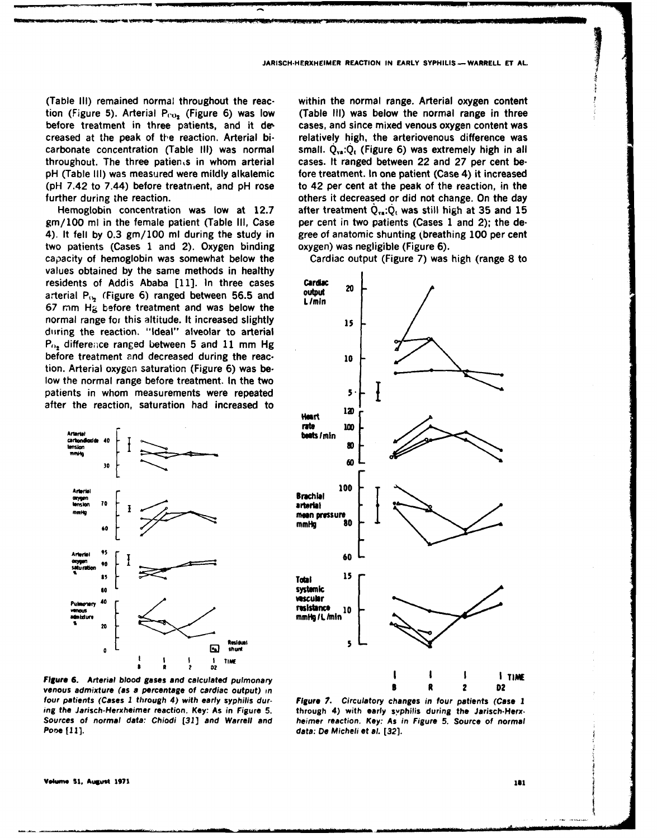tion (Figure 5). Arterial P<sub>co<sub>2</sub></sub> (Figure 6) was low (Table III) was below the normal range in three before treatment in three patients, and it de cases, and since mixed venous oxygen content was creased at the peak of the reaction. Arterial bi- relatively high, the arteriovenous difference was carbonate concentration (Table III) was normal small. Q<sub>va</sub>:Q<sub>t</sub> (Figure 6) was extremely high in all throughout. The three patients in whom arterial cases. It ranged between 22 and 27 per cent bepH (Table Ill) was measured were mildly alkalemic fore treatment. In one patient (Case 4) it increased (pH 7.42 to 7.44) before treatment, and pH rose to 42 per cent at the peak of the reaction, in the further during the reaction. The reaction of the reason of the reason of did not change. On the day

gm/100 ml in the female patient (Table III, Case per cent in two patients (Cases 1 and 2); the de-4). It fell by 0.3 gm/100 ml during the study in gree of anatomic shunting (breathing 100 per cent two patients (Cases **1** and 2). Oxygen binding oxygen) was negligible (Figure 6). capacity of hemoglobin was somewhat below the Cardiac output (Figure 7) was high (range 8 to values obtained by the same methods in healthy residents of Addis Ababa [11]. In three cases **Cardiac** arterial P<sub>( $v_2$ </sub> (Figure 6) ranged between 56.5 and **output** 67 mm Hg before treatment and was below the normal range for this altitude. It increased slightly **15** during the reaction. "Ideal" alveolar to arterial  $P_{\Omega_2}$  difference ranged between 5 and 11 mm Hg before treatment and decreased during the reac- 10 tion. Arterial oxygen saturation (Figure 6) was be. low the normal range before treatment. In the two patients in whom measurements were repeated 5. after the reaction, saturation had increased to



*venous admixture (as a percentage of cardiac output)* in *four patients* (Cases *I through 4) with early syphilis dur- Figure 7. Circulatory changes in four patients (Case* **<sup>I</sup>** *ing* the Jarisch.Herxheimer reaction. **Key:** As *in Figure 5.* through 4) with early syphilis during the Jerisch.Herx. *Sources of normal data: Chiodi [31] and Warrell and heimer* reaction. Key: *As in Figure* 5. Source of normal Pone **[11).** data: *De Micheli* et **al.** *[32].*

(Table III) remained normal throughout the reac- within the normal range. Arterial oxygen content Hemoglobin concentration was low at 12.7 after treatment  $Q_{\alpha i}$ : $Q_t$  was still high at 35 and 15





v4,m si. **Auust 19717 iai**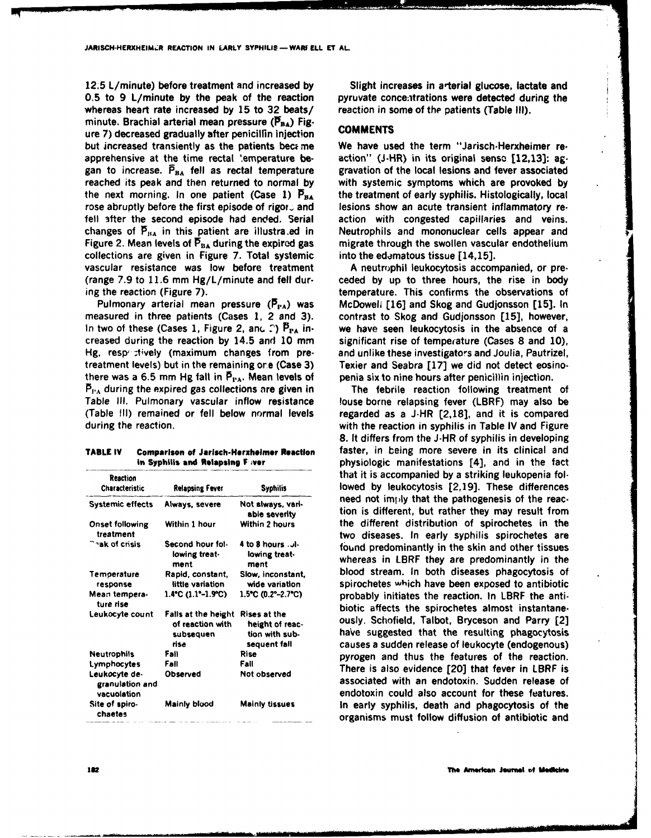0.5 to 9 L/minute by the peak of the reaction pyruvate concentrations were detected during the whereas heart rate increased by 15 to 32 beats/ reaction in some of the patients (Table III). minute. Brachial arterial mean pressure ( $\overline{P}_{BA}$ ) Fig. ure 7) decreased gradually after penicillin injection **COMMENTS** but increased transiently as the patients beca me We have used the term "Jarisch.Herxheimer reapprehensive at the time rectal 'emperature be- action" (J-HR) in its original sense  $[12,13]$ : aggan to increase.  $\bar{P}_{BA}$  fell as rectal temperature gravation of the local lesions and fever associated reached its peak and then returned to normal by with systemic symptoms which are provoked by the next morning. In one patient (Case 1)  $\overline{P}_{BA}$  the treatment of early syphilis. Histologically, local rose abruptly before the first episode of rigor. and lesions show an acute transient inflammatory refell 3fter the second episode had ended. Serial action with congested capillaries and veins. changes of  $\bar{P}_{H_A}$  in this patient are illustra.ed in **Neutrophils and mononuclear cells appear and** Figure 2. Mean levels of  $\bar{P}_{BA}$  during the expired gas migrate through the swollen vascular endothelium collections are given in Figure 7. Total systemic into the edematous tissue [14,15]. vascular resistance was low before treatment A neutrophil leukocytosis accompanied, or pre-(range 7.9 to 11.6 mm Hg/L/minute and fell dur- ceded by up to three hours, the rise in body

measured in three patients (Cases 1, 2 and 3). contrast to Skog and Gudjonsson [15], however, In two of these (Cases 1, Figure 2, and  $\hat{P}_{PA}$  in. we have seen leukocytosis in the absence of a creased during the reaction by 14.5 and 10 mm significant rise of temperature (Cases 8 and 10), Hg, respectively (maximum changes from pre- and unlike these investigators and Joulia, Pautrizel, treatment levels) but in the remaining ore (Case 3) Texier and Seabra [17] we did not detect eosinothere was a 6.5 mm Hg fall in  $\bar{P}_{PA}$ . Mean levels of penia six to nine hours after penicillin injection.  $\bar{P}_{\rm PA}$  during the expired gas collections are given in The febrile reaction following treatment of Table Ill. Pulmonary vascular inflow resistance louse borne relapsing fever (LBRF) may also be (Table **11l)** remained or fell below normal levels regarded as a J.HR [2,18], and it is compared during the reaction. with the reaction in syphilis in Table IV and Figure

| Reaction                                        |                                                               |                                                                   |
|-------------------------------------------------|---------------------------------------------------------------|-------------------------------------------------------------------|
| <b>Characteristic</b>                           | <b>Relapsing Fever</b>                                        | <b>Syphilis</b>                                                   |
| <b>Systemic effects</b>                         | Always, severe                                                | Not slways, vari•<br>able severity                                |
| Onset following<br>treatment                    | Within 1 hour                                                 | Within 2 hours                                                    |
| <b>Thak of crisis</b>                           | Second hour fol-<br>lowing treat-<br>ment                     | 4 to 8 hours .Jl-<br>lowing treat-<br>ment                        |
| Temperature<br>response                         | Rapid, constant,<br>little variation                          | Slow, inconstant,<br>wide variation                               |
| Mean tempera-<br>ture rise                      | 1.4°C (1.1°-1.9°C)                                            | 1.5°C (0.2°-2.7°C)                                                |
| Leukocyte count                                 | Falls at the height<br>of reaction with<br>subsequen:<br>rise | Rises at the<br>height of reac-<br>tion with sub-<br>sequent fall |
| <b>Neutrophils</b>                              | Fail                                                          | Rise                                                              |
| Lymphocytes                                     | Fall                                                          | Fall                                                              |
| Leukocyte de-<br>granulation and<br>vacuolation | Observed                                                      | Not observed                                                      |
| Site of spiro-<br>chaetes                       | <b>Mainly blood</b>                                           | <b>Mainly tissues</b>                                             |

12 5 L/minute) before treatment and increased by Slight increases in arterial glucose, lactate and

ing the reaction (Figure 7). temperature. This confirms the observations of Pulmonary arterial mean pressure  $(\bar{P}_{PA})$  was McDoweli [16] and Skog and Gudjonsson [15]. In McDoweli [16] and Skog and Gudjonsson [15]. In

8. It differs from the J-HR of syphilis in developing **TABLE** IV Comparison of Jarlsch-Herxhelmor **Reaction** faster, in being more severe in its clinical and in Syphilis and Relapsing Faver physiologic manifestations  $[4]$ , and in the fact that it is accompanied by a striking leukopenia followed by leukocytosis [2,19]. These differences need not imply that the pathogenesis of the reaction is different, but rather they may result from the different distribution of spirochetes in the two diseases. In early syphilis spirochetes are found predominantly in the skin and other tissues whereas in LBRF they are predominantly in the blood stream. In both diseases phagocytosis of spirochetes which have been exposed to antibiotic probably initiates the reaction. In LBRF the antibiotic affects the spirochetes almost instantane. ously. Schofield, Talbot, Bryceson and Parry [2] have suggested that the resulting phagocytosis causes a sudden release of leukocyte (endogenous) pyrogen and thus the features of the reaction. There is also evidence [20] that fever in LBRF is associated with an endotoxin. Sudden release of endotoxin could also account for these features. In early syphilis, death and phagocytosis of the organisms must follow diffusion of antibiotic and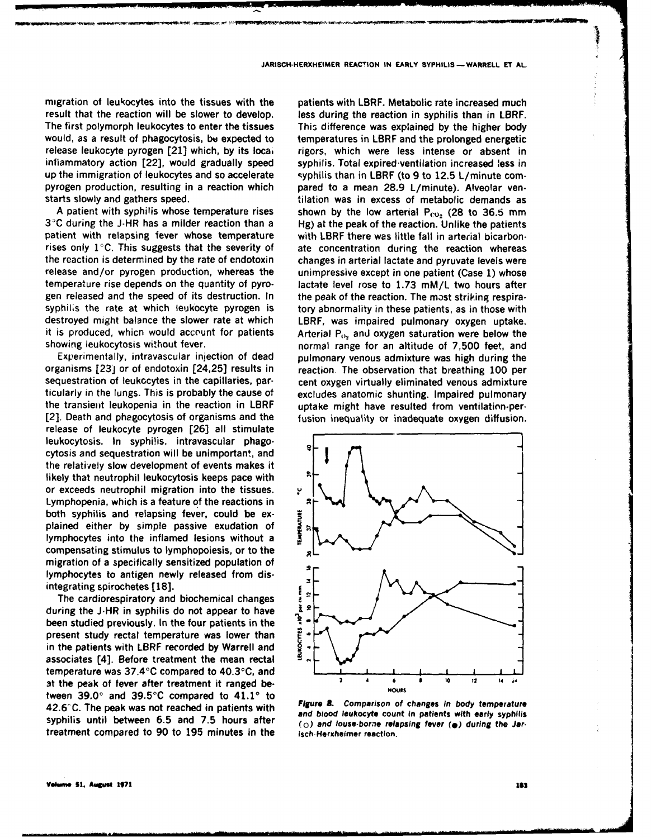result that the reaction will be slower to develop, less during the reaction in syphilis than in LBRF. The first polymorph leukocytes to enter the tissues This difference was explained by the higher body would, as a result of phagocytosis, be expected to temperatures in LBRF and the prolonged energetic release leukocyte pyrogen [21] which, by its local rigors, which were less intense or absent in inflammatory action [22], would gradually speed syphilis. Total expired-ventilation increased less in up the immigration of leukocytes and so accelerate syphilis than in LBRF (to 9 to 12.5 L/minute compyrogen production, resulting in a reaction which pared to a mean 28.9 L/minute). Alveolar yen-

3 'C during the J-HR has a milder reaction than a **Hg)** at the peak of the reaction. Unlike the patients patient with relapsing fever whose temperature with LBRF there was little fall in arterial bicarbonrises only  $1^{\circ}$ C. This suggests that the severity of ate concentration during the reaction whereas the reaction is determined by the rate of endotoxin changes in arterial lactate and pyruvate levels were release and/or pyrogen production, whereas the unimpressive except in one patient (Case 1) whose temperature rise depends on the quantity of pyro- lactate level rose to 1.73 mM/L two hours after gen released and the speed of its destruction. In the peak of the reaction. The most striking respirasyphilis the rate at which leukocyte pyrogen is tory abnormality in these patients, as in those with destroyed might balance the slower rate at which LBRF, was impaired pulmonary oxygen uptake. it is produced, whicn would account for patients  $A$ rterial  $P_{0}$ , and oxygen saturation were below the

organisms [23] or of endotoxin [24,25] results in reaction. The observation that breathing 100 per sequestration of leukocytes in the capillaries, par-<br>cent oxygen virtually eliminated venous admixture ticularly in the lungs. This is probably the cause of excludes anatomic shunting. Impaired pulmonary the transient leukopenia in the reaction in LBRF uptake might have resulted from ventilation-per-[2]. Death and phagocytosis of organisms and the fusion inequality or inadequate oxygen diffusion. release of leukocyte pyrogen [26] all stimulate leukocytosis. In syphilis, intravascular phagocytosis and sequestration will be unimportant, and the relatively slow development of events makes it likely that neutrophil leukocytosis keeps pace with or exceeds neutrophil migration into the tissues. **,'** Lymphopenia, which is a feature of the reactions in both syphilis and relapsing fever, could be ex-<br>plained either by simple passive exudation of<br>lymphocytes into the inflamed lesions without a plained either by simple passive exudation of lymphocytes into the inflamed lesions without a compensating stimulus to lymphopoiesis, or to the migration of a specifically sensitized population of lymphocytes to antigen newly released from disintegrating spirochetes [18].

The cardiorespiratory and biochemical changes  $\frac{1}{2}$ <br>ring the LHR in synbilis do not annear to have  $\frac{1}{2}$ during the J-HR in syphilis do not appear to have  $\frac{1}{2}$ <br>been studied previously in the four patients in the been studied previously. In the four patients in the present study rectal temperature was lower than in the patients with LBRF recorded by Warrell and associates [4]. Before treatment the mean rectal temperature was  $37.4^{\circ}$ C compared to  $40.3^{\circ}$ C, and  $\begin{array}{ccc} 1 & 1 & 1 \end{array}$ at the peak of fever after treatment it ranged be-<br>
Hours tween 39.0° and 39.5°C compared to 41.1° to **Hours**<br>42.6°C. The pask was not reached in patients with **Figure 8.** Comparison of changes in body temperature 42.6°C. The peak was not reached in patients with and blood leukocyte count In patients with early syphilis syphilis until between 6.5 and 7.5 hours after (o) and *louse-borne* relapsing fever *(e) during* the *Jar.* treatment compared to 90 to 195 minutes in the isch Herxheimer reaction.

migration of leukocytes into the tissues with the patients with LBRF. Metabolic rate increased much starts slowly and gathers speed. The starts slowly and gathers speed. The starts slowly and gathers speed. A patient with syphilis whose temperature rises shown by the low arterial  $P_{CO_2}$  (28 to 36.5 mm showing leukocytosis without fever. The normal range for an altitude of 7,500 feet, and Experimentally, intravascular injection of dead pulmonary venous admixture was high during the

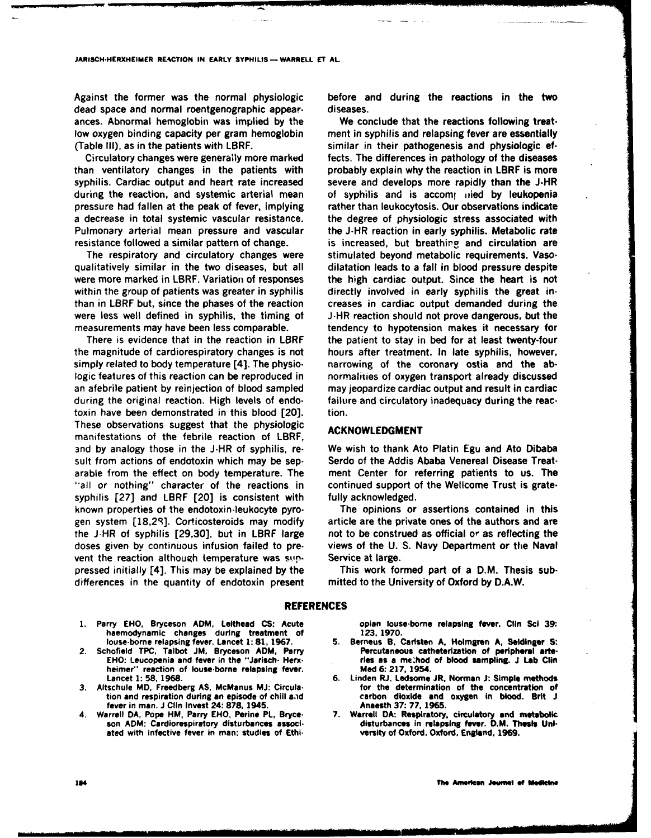**JARISCH-HERXHEIMER REACTION IN EARLY SYPHILIS -- WARRELL ET AL.** 

dead space and normal roentgenographic appear- diseases. ances. Abnormal hemoglobin was implied by the We conclude that the reactions following treatlow oxygen binding capacity per gram hemoglobin ment in syphilis and relapsing fever are essentially (Table Ill), as in the patients with LBRF. similar in their pathogenesis and physiologic ef-

than ventilatory changes in the patients with probably explain why the reaction in LBRF is more syphilis. Cardiac output and heart rate increased severe and develops more rapidly than the J-HR<br>during the reaction, and systemic arterial mean of syphilis and is accompanied by leukopenia during the reaction, and systemic arterial mean pressure had fallen at the peak of fever, implying rather than leukocytosis. Our observations indicate a decrease in total systemic vascular resistance. the degree of physiologic stress associated with Pulmonary arterial mean pressure and vascular the J-HR reaction in early syphilis. Metabolic rate resistance followed a similar pattern of change. is increased, but breathing and circulation are

qualitatively similar in the two diseases, but all dilatation leads to a fall in blood pressure despite were more marked in LBRF. Variation of responses the high cardiac output. Since the heart is not within the group of patients was greater in syphilis directly involved in early syphilis the great inthan in LBRF but, since the phases of the reaction creases in cardiac output demanded during the were less well defined in syphilis, the timing of J-HR reaction should not prove dangerous, but the

the magnitude of cardiorespiratory changes is not hours after treatment. In late syphilis, however, simply related to body temperature [4]. The physio- narrowing of the coronary ostia and the ablogic features of this reaction can be reproduced in normalities of oxygen transport already discussed an afebrile patient by reinjection of blood sampled may jeopardize cardiac output and result in cardiac during the original reaction. High levels of endo-<br>  $1$  failure and circulatory inadequacy during the reactoxin have been demonstrated in this blood [20]. tion. These observations suggest that the physiologic **ACKNOWLEDGMENT** manifestations of the febrile reaction of LBRF, 3nd by analogy those in the J-HR of syphilis, re- We wish to thank Ato Platin Egu and Ato Dibaba sult from actions of endotoxin which may be sep-<br>Serdo of the Addis Ababa Venereal Disease Treatarable from the effect on body temperature. The ment Center for referring patients to us. The "all or nothing" character of the reactions in continued support of the Wellcome Trust is gratesyphilis [27] and LBRF [20] is consistent with fully acknowledged. known properties of the endotoxin-leukocyte pyro- The opinions or assertions contained in this gen system [18,29]. Corticosteroids may modify article are the private ones of the authors and are the J-HR of syphilis [29,30], but in LBRF large not to be construed as official or as reflecting the doses given by continuous infusion failed to pre- views of the U. S. Navy Department or the Naval vent the reaction although temperature was **skip-** Service at large. pressed initially [4]. This may be explained by the This work formed part of a D.M. Thesis subdifferences in the quantity of endotoxin present mitted to the University of Oxford by D.A.W.

Against the former was the normal physiologic before and during the reactions in the two

Circulatory changes were generaly more marked fects. The differences in pathology of the diseases The respiratory and circulatory changes were stimulated beyond metabolic requirements. Vasomeasurements may have been less comparable. The tendency to hypotension makes it necessary for There is evidence that in the reaction in LBRF the patient to stay in bed for at least twenty-four

### **REFERENCES**

- 1. Parry EHO, Bryceson ADM, Leithead CS: Acute **opian louse-borne relapsing fever.** Clin Sci 39:<br>haemodynamic changes during treatment of 123, 1970. haemodynamic changes during treatment of **123, 1970.** louse-borne relapsing fever. Lancet 1: 81, 1967. **5. Berneus B, Carlsten A, Holmgren A, Seldinger S:**
- heimer" reaction of louse-borne relapsing fever.<br>Lancet 1: 58, 1968.
- **3.** Altschule MD, Freedberg **AS,** McManus **MJ:** Circula- for the determination of the concentration of fever in man. **J** Clin Invest 24: **878,** 1945. Anaesth **37: 77, 1965.**
- 

- 2. Schofield TPC, Talbot JM, Bryceson ADM, Parry **Percutaneous catheterization of peripheral arte-**<br>EHO: Leucopenia and fever in the "Jarisch-Herx- ries as a method of blood sampling. J Lab Clin ries as a method of blood sampling. **J Lab Clin**<br>Med 6: 217, 1954.
	- Lancet **1: 58, 1968. 6.** Linden RJ, Ledsome JR, Norman **J:** Simple methods carbon dioxide and oxygen in blood. Brit J<br>Anaesth 37: 77, 1965.
- 4. Warrell DA, Pope HM, Parry EHO, Perine PL, Bryce- 7. Warrell DA: Respiratory, circulatory and metabolic<br>son ADM: Cardiorespiratory disturbances associ- disturbances in relapsing fever. D.M. Thesis Uni-<br>ated with infecti versity of Oxford, Oxford, England, 1969.